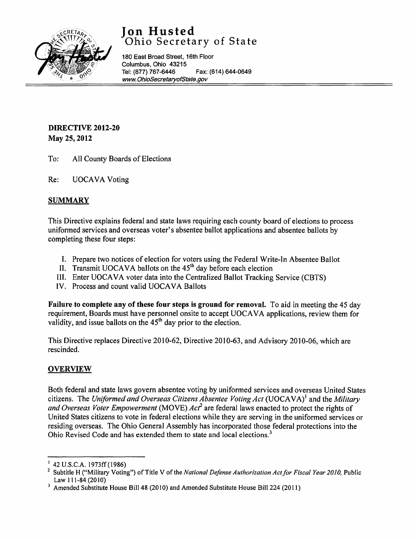

# **Jon Husted**  Ohio Secretary of State

180 East Broad Street, 16th Floor Columbus, Ohio 43215<br>Tel: (877) 767-6446 Fax: (614) 644-0649 *www.* [OhioSecretaryofState.gov](http://www.OhioSecretaryofState.gov)

## DIRECTIVE 2012-20 May 25, 2012

- To; All County Boards of Elections
- Re; UOCAVA Voting

## **SUMMARY**

This Directive explains federal and state laws requiring each county board of elections to process uniformed services and overseas voter's absentee ballot applications and absentee ballots by completing these four steps;

- I. Prepare two notices of election for voters using the Federal Write-In Absentee Ballot
- II. Transmit UOCAVA ballots on the 45<sup>th</sup> day before each election
- III. Enter UOCAVA voter data into the Centralized Ballot Tracking Service (CBTS)
- IV. Process and count valid UOCAVA Ballots

Failure to complete any of these four steps is ground for removal. To aid in meeting the 45 day requirement, Boards must have personnel onsite to accept UOCAVA applications, review them for validity, and issue ballots on the  $45<sup>th</sup>$  day prior to the election.

This Directive replaces Directive 2010-62, Directive 2010-63, and Advisory 2010-06, which are rescinded.

## **OVERVIEW**

Both federal and state laws govern absentee voting by uniformed services and overseas United States citizens. The *Uniformed and Overseas Citizens Absentee Voting Act* (UOCAVA)<sup>1</sup> and the *Military and Overseas Voter Empowerment* (MOVE) *Act*<sup>2</sup> are federal laws enacted to protect the rights of United States citizens to vote in federal elections while they are serving in the uniformed services or residing overseas. The Ohio General Assembly has incorporated those federal protections into the Ohio Revised Code and has extended them to state and local elections.<sup>3</sup>

<sup>I</sup> 42 U.S.C.A. 1973ff(1986)

Subtitle H ("Military Voting") of Title V of the *National Defense Authorization Act for Fiscal Year 2010*, Public Law 111-84 (2010)

<sup>&</sup>lt;sup>3</sup> Amended Substitute House Bill 48 (2010) and Amended Substitute House Bill 224 (2011)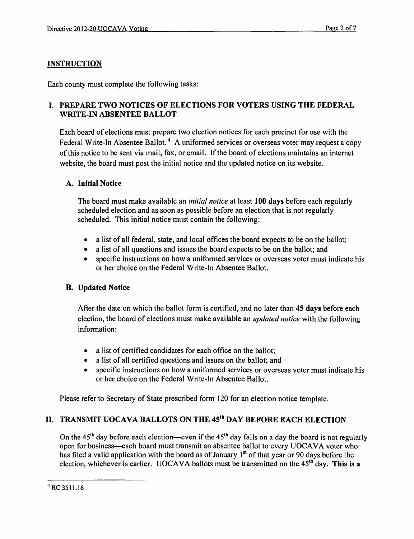## **INSTRUCTION**

Each county must complete the following tasks:

## I. PREPARE TWO NOTICES OF ELECTIONS FOR VOTERS USING THE FEDERAL WRITE-IN ABSENTEE BALLOT

Each board of elections must prepare two election notices for each precinct for use with the Federal Write-In Absentee Ballot.<sup>4</sup> A uniformed services or overseas voter may request a copy of this notice to be sent via mail, fax, or email. If the board of elections maintains an internet website, the board must post the initial notice and the updated notice on its website.

## A. Initial Notice

The board must make available an *initial notice* at least 100 days before each regularly scheduled election and as soon as possible before an election that is not regularly scheduled. This initial notice must contain the following:

- a list of all federal, state, and local offices the board expects to be on the ballot;
- a list of all questions and issues the board expects to be on the ballot; and
- specific instructions on how a uniformed services or overseas voter must indicate his or her choice on the Federal Write-In Absentee Ballot.

## B. Updated Notice

After the date on which the ballot form is certified, and no later than 45 days before each election, the board of elections must make available an *updated notice* with the following information:

- a list of certified candidates for each office on the ballot:
- a list of all certified questions and issues on the ballot; and
- specific instructions on how a uniformed services or overseas voter must indicate his or her choice on the Federal Write-In Absentee Ballot.

Please refer to Secretary of State prescribed form 120 for an election notice template.

## II. TRANSMIT UOCAVA BALLOTS ON THE 45<sup>th</sup> DAY BEFORE EACH ELECTION

On the  $45<sup>th</sup>$  day before each election—even if the  $45<sup>th</sup>$  day falls on a day the board is not regularly open for business-each board must transmit an absentee ballot to every UOCAVA voter who has filed a valid application with the board as of January 1<sup>st</sup> of that year or 90 days before the election, whichever is earlier. UOCAVA ballots must be transmitted on the  $45<sup>th</sup>$  day. This is a

<sup>4</sup> RC 3511.16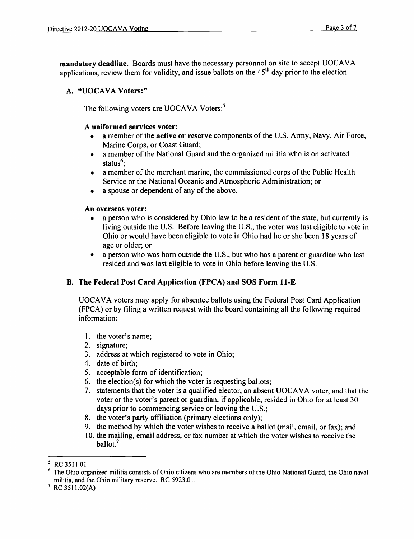mandatory deadline. Boards must have the necessary personnel on site to accept UOCAVA applications, review them for validity, and issue ballots on the  $45<sup>th</sup>$  day prior to the election.

#### A. "UOCAVA Voters:"

The following voters are UOCAVA Voters:<sup>5</sup>

#### A uniformed services voter:

- a member of the active or reserve components of the U.S. Army, Navy, Air Force, Marine Corps, or Coast Guard;
- a member of the National Guard and the organized militia who is on activated status<sup>6</sup>;
- a member of the merchant marine, the commissioned corps of the Public Health Service or the National Oceanic and Atmospheric Administration; or
- a spouse or dependent of any of the above.

#### An overseas voter:

- a person who is considered by Ohio law to be a resident of the state, but currently is living outside the U.S. Before leaving the U.S., the voter was last eligible to vote in Ohio or would have been eligible to vote in Ohio had he or she been 18 years of age or older; or
- a person who was born outside the U.S., but who has a parent or guardian who last resided and was last eligible to vote in Ohio before leaving the U.S.

## B. The Federal Post Card Application (FPCA) and SOS Form ll-E

UOCAVA voters may apply for absentee ballots using the Federal Post Card Application (FPCA) or by filing a written request with the board containing all the following required information:

- 1. the voter's name;
- 2. signature;
- 3. address at which registered to vote in Ohio;
- 4. date of birth;
- 5. acceptable form of identification;
- 6. the election(s) for which the voter is requesting ballots;
- 7. statements that the voter is a qualified elector, an absent UOCAVA voter, and that the voter or the voter's parent or guardian, if applicable, resided in Ohio for at least 30 days prior to commencing service or leaving the U.S.;
- 8. the voter's party affiliation (primary elections only);
- 9. the method by which the voter wishes to receive a ballot (mail, email, or fax); and
- 10. the mailing, email address, or fax number at which the voter wishes to receive the ballot.<sup>7</sup>

<sup>5</sup> RC 3511.01

<sup>6</sup> The Ohio organized militia consists of Ohio citizens who are members of the Ohio National Guard, the Ohio naval militia, and the Ohio military reserve. RC 5923.01.

 $7$  RC 3511.02(A)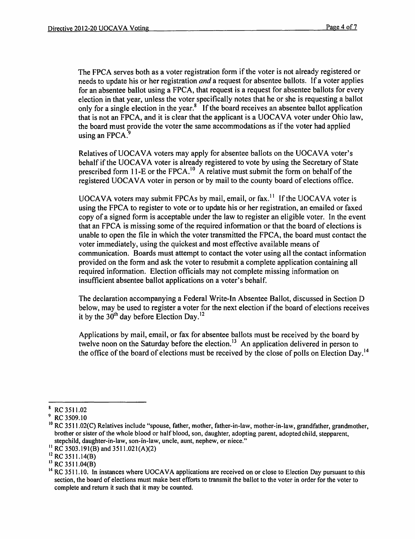The FPCA serves both as a voter registration form if the voter is not already registered or needs to update his or her registration *and* a request for absentee ballots. If a voter applies for an absentee ballot using a FPCA, that request is a request for absentee ballots for every election in that year, unless the voter specifically notes that he or she is requesting a ballot only for a single election in the year. $\frac{8}{3}$  If the board receives an absentee ballot application that is not an FPCA, and it is clear that the applicant is a UOCAVA voter under Ohio law, the board must provide the voter the same accommodations as if the voter had applied using an FPCA.<sup>9</sup>

Relatives of UOCAVA voters may apply for absentee ballots on the UOCAVA voter's behalf if the UOCAVA voter is already registered to vote by using the Secretary of State prescribed form 11-E or the FPCA.<sup>10</sup> A relative must submit the form on behalf of the registered UOCAVA voter in person or by mail to the county board of elections office.

UOCAVA voters may submit FPCAs by mail, email, or fax.<sup>11</sup> If the UOCAVA voter is using the FPCA to register to vote or to update his or her registration, an emailed or faxed copy of a signed form is acceptable under the law to register an eligible voter. In the event that an FPCA is missing some of the required information or that the board of elections is unable to open the file in which the voter transmitted the FPCA, the board must contact the voter immediately, using the quickest and most effective available means of communication. Boards must attempt to contact the voter using all the contact information provided on the form and ask the voter to resubmit a complete application containing all required information. Election officials may not complete missing information on insufficient absentee ballot applications on a voter's behalf.

The declaration accompanying a Federal Write-In Absentee Ballot, discussed in Section D below, may be used to register a voter for the next election if the board of elections receives it by the  $30<sup>th</sup>$  day before Election Day.<sup>12</sup>

Applications by mail, email, or fax for absentee ballots must be received by the board by twelve noon on the Saturday before the election. <sup>3</sup> An application delivered in person to the office of the board of elections must be received by the close of polls on Election Day.<sup>14</sup>

<sup>8</sup> RC3511.02

RC 3509.10

<sup>&</sup>lt;sup>10</sup> RC 3511.02(C) Relatives include "spouse, father, mother, father-in-law, mother-in-law, grandfather, grandmother, brother or sister of the whole blood or half blood, son, daughter, adopting parent, adopted child, stepparent, stepchild, daughter-in-law, son-in-law, uncle, aunt, nephew, or niece."

<sup>&</sup>lt;sup>11</sup> RC 3503.191(B) and 3511.021(A)(2)

 $^{12}$  RC 3511.14(B)

 $^{13}$  RC 3511.04(B)

 $14$  RC 3511.10. In instances where UOCAVA applications are received on or close to Election Day pursuant to this section, the board of elections must make best efforts to transmit the ballot to the voter in order for the voter to complete and return it such that it may be counted.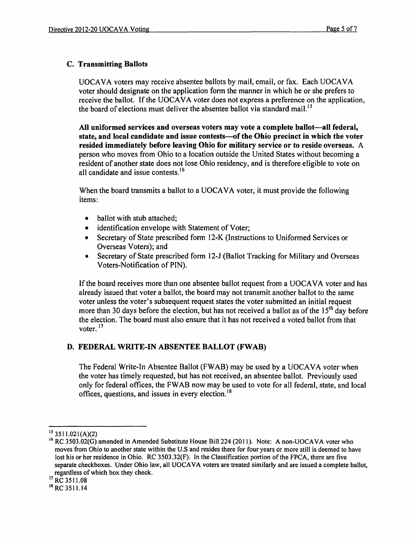## c. Transmitting Ballots

UOCAVA voters may receive absentee ballots by mail, email, or fax. Each UOCAVA voter should designate on the application form the manner in which he or she prefers to receive the ballot. If the UOCAVA voter does not express a preference on the application, the board of elections must deliver the absentee ballot via standard mail.<sup>15</sup>

All uniformed services and overseas voters may vote a complete ballot-all federal, state, and local candidate and issue contests—of the Ohio precinct in which the voter resided immediately before leaving Ohio for military service or to reside overseas. A person who moves from Ohio to a location outside the United States without becoming a resident of another state does not lose Ohio residency, and is therefore eligible to vote on all candidate and issue contests.<sup>16</sup>

When the board transmits a ballot to a UOCAVA voter, it must provide the following items:

- ballot with stub attached;
- identification envelope with Statement of Voter;
- Secretary of State prescribed form 12-K (Instructions to Uniformed Services or Overseas Voters); and
- Secretary of State prescribed form 12-J (Ballot Tracking for Military and Overseas Voters-Notification of PIN).

If the board receives more than one absentee ballot request from a UOCAVA voter and has already issued that voter a ballot, the board may not transmit another ballot to the same voter unless the voter's subsequent request states the voter submitted an initial request more than 30 days before the election, but has not received a ballot as of the  $15<sup>th</sup>$  day before the election. The board must also ensure that it has not received a voted ballot from that voter.<sup>17</sup>

## D. FEDERAL WRITE-IN ABSENTEE BALLOT (FWAB)

The Federal Write-In Absentee Ballot (FWAB) may be used by a UOCAVA voter when the voter has timely requested, but has not received, an absentee ballot. Previously used only for federal offices, the FW AB now may be used to vote for all federal, state, and local offices, questions, and issues in every election.<sup>18</sup>

 $15$  3511.021(A)(2)

<sup>&</sup>lt;sup>16</sup> RC 3503.02(G) amended in Amended Substitute House Bill 224 (2011). Note: A non-UOCAVA voter who moves from Ohio to another state within the U.S and resides there for four years or more still is deemed to have lost his or her residence in Ohio. RC 3503.32(F). In the Classification portion of the FPCA, there are five separate checkboxes. Under Ohio law, all UOCAVA voters are treated similarly and are issued a complete ballot, regardless of which box they check.

<sup>&</sup>lt;sup>17</sup> RC 3511.08

<sup>18</sup> RC 3511.14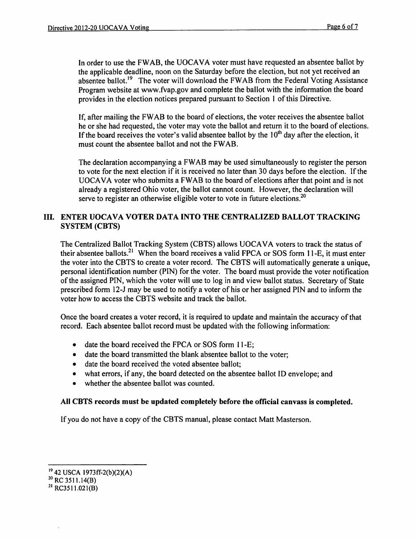In order to use the FWAB, the UOCAVA voter must have requested an absentee ballot by the applicable deadline, noon on the Saturday before the election, but not yet received an absentee ballot.<sup>19</sup> The voter will download the FWAB from the Federal Voting Assistance Program website at www.fvap.gov and complete the ballot with the information the board provides in the election notices prepared pursuant to Section 1 of this Directive.

If, after mailing the FW AB to the board of elections, the voter receives the absentee ballot he or she had requested, the voter may vote the ballot and return it to the board of elections. If the board receives the voter's valid absentee ballot by the  $10<sup>th</sup>$  day after the election, it must count the absentee ballot and not the FWAB.

The declaration accompanying a FW AB may be used simultaneously to register the person to vote for the next election if it is received no later than 30 days before the election. If the UOCA VA voter who submits a FW AB to the board of elections after that point and is not already a registered Ohio voter, the ballot cannot count. However, the declaration will serve to register an otherwise eligible voter to vote in future elections.<sup>20</sup>

### III. ENTER UOCAVA VOTER DATA INTO THE CENTRALIZED BALLOT TRACKING SYSTEM (CBTS)

The Centralized Ballot Tracking System (CBTS) allows UOCAVA voters to track the status of their absentee ballots.<sup>21</sup> When the board receives a valid FPCA or SOS form 11-E, it must enter the voter into the CBTS to create a voter record. The CBTS will automatically generate a unique, personal identification number (PIN) for the voter. The board must provide the voter notification of the assigned PIN, which the voter will use to log in and view ballot status. Secretary of State prescribed form 12-1 may be used to notify a voter of his or her assigned PIN and to inform the voter how to access the CBTS website and track the ballot.

Once the board creates a voter record, it is required to update and maintain the accuracy of that record. Each absentee ballot record must be updated with the following information:

- date the board received the FPCA or SOS form 11-E;
- date the board transmitted the blank absentee ballot to the voter:
- date the board received the voted absentee ballot:
- what errors, if any, the board detected on the absentee ballot ID envelope; and
- whether the absentee ballot was counted.

#### All CBTS records must be updated completely before the official canvass is completed.

If you do not have a copy of the CBTS manual, please contact Matt Masterson.

<sup>19</sup> 42 USCA 1973ff-2(b)(2)(A)

 $^{20}$  RC 3511.14(B)

<sup>21</sup> RC3511.021(B)